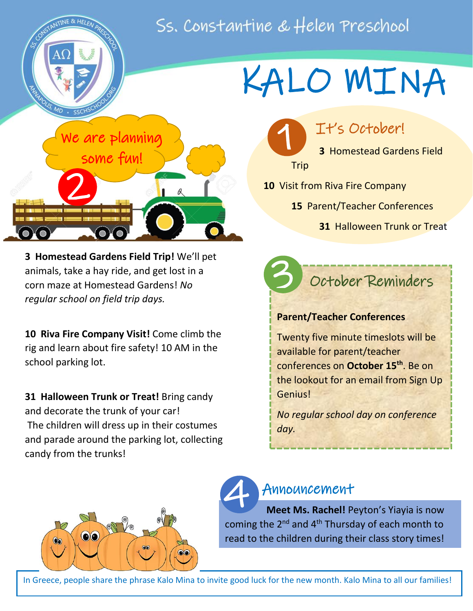# Ss. Constantine & Helen Preschool

 $\overline{\phantom{a}}$ 

3

1



**3 Homestead Gardens Field Trip!** We'll pet animals, take a hay ride, and get lost in a corn maze at Homestead Gardens! *No regular school on field trip days.*

**10 Riva Fire Company Visit!** Come climb the rig and learn about fire safety! 10 AM in the school parking lot.

**31 Halloween Trunk or Treat!** Bring candy and decorate the trunk of your car! The children will dress up in their costumes and parade around the parking lot, collecting candy from the trunks!

# KALO MINA

It's October!

**3** Homestead Gardens Field Trip

- **10** Visit from Riva Fire Company
	- **15** Parent/Teacher Conferences
		- **31** Halloween Trunk or Treat

## October Reminders

#### **Parent/Teacher Conferences**

Twenty five minute timeslots will be available for parent/teacher conferences on **October 15th**. Be on the lookout for an email from Sign Up Genius!

*No regular school day on conference day.*



### Announcement

 **Meet Ms. Rachel!** Peyton's Yiayia is now coming the 2<sup>nd</sup> and 4<sup>th</sup> Thursday of each month to read to the children during their class story times! 4

In Greece, people share the phrase Kalo Mina to invite good luck for the new month. Kalo Mina to all our families!